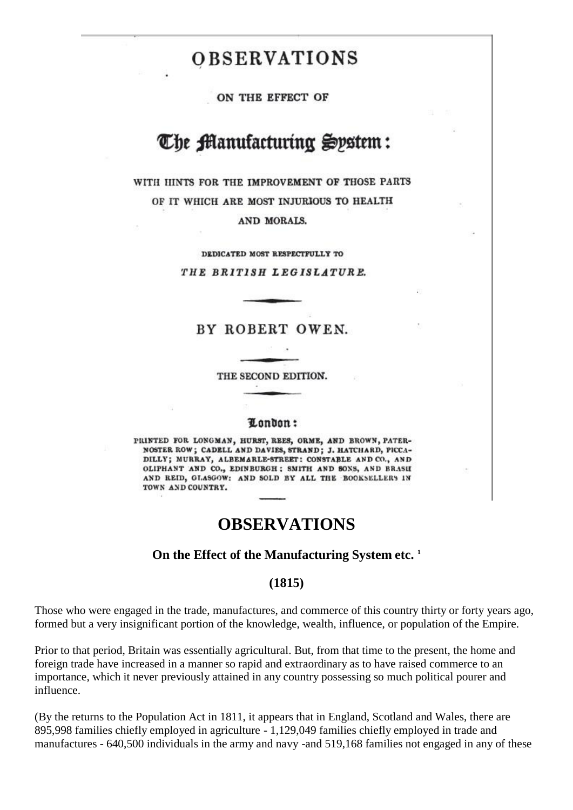# OBSERVATIONS

#### ON THE EFFECT OF

# The Manufacturing System:

WITH HINTS FOR THE IMPROVEMENT OF THOSE PARTS OF IT WHICH ARE MOST INJURIOUS TO HEALTH

AND MORALS.

DEDICATED MOST RESPECTFULLY TO THE BRITISH LEGISLATURE.

### BY ROBERT OWEN.

THE SECOND EDITION.

#### London:

PRINTED FOR LONGMAN, HURST, REES, ORME, AND BROWN, PATER-NOSTER ROW; CADELL AND DAVIES, STRAND; J. HATCHARD, PICCA-DILLY; NURRAY, ALBEMARLE-STREET: CONSTABLE AND CO., AND OLIPHANT AND CO., EDINBURGH ; SMITH AND SONS, AND BRASH AND REID, GLASGOW: AND SOLD BY ALL THE BOOKSELLERS IN TOWN AND COUNTRY.

## **OBSERVATIONS**

### **On the Effect of the Manufacturing System etc. <sup>1</sup>**

#### **(1815)**

Those who were engaged in the trade, manufactures, and commerce of this country thirty or forty years ago, formed but a very insignificant portion of the knowledge, wealth, influence, or population of the Empire.

Prior to that period, Britain was essentially agricultural. But, from that time to the present, the home and foreign trade have increased in a manner so rapid and extraordinary as to have raised commerce to an importance, which it never previously attained in any country possessing so much political pourer and influence.

(By the returns to the Population Act in 1811, it appears that in England, Scotland and Wales, there are 895,998 families chiefly employed in agriculture - 1,129,049 families chiefly employed in trade and manufactures - 640,500 individuals in the army and navy -and 519,168 families not engaged in any of these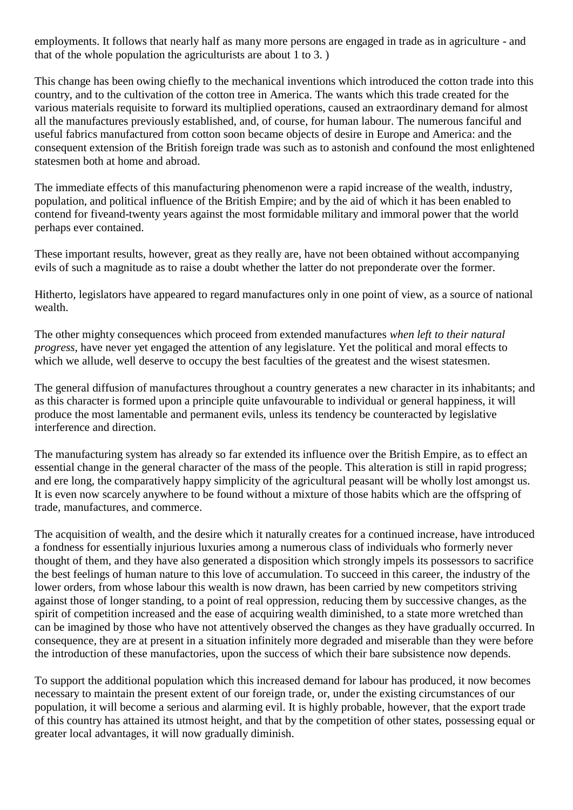employments. It follows that nearly half as many more persons are engaged in trade as in agriculture - and that of the whole population the agriculturists are about 1 to 3. )

This change has been owing chiefly to the mechanical inventions which introduced the cotton trade into this country, and to the cultivation of the cotton tree in America. The wants which this trade created for the various materials requisite to forward its multiplied operations, caused an extraordinary demand for almost all the manufactures previously established, and, of course, for human labour. The numerous fanciful and useful fabrics manufactured from cotton soon became objects of desire in Europe and America: and the consequent extension of the British foreign trade was such as to astonish and confound the most enlightened statesmen both at home and abroad.

The immediate effects of this manufacturing phenomenon were a rapid increase of the wealth, industry, population, and political influence of the British Empire; and by the aid of which it has been enabled to contend for fiveand-twenty years against the most formidable military and immoral power that the world perhaps ever contained.

These important results, however, great as they really are, have not been obtained without accompanying evils of such a magnitude as to raise a doubt whether the latter do not preponderate over the former.

Hitherto, legislators have appeared to regard manufactures only in one point of view, as a source of national wealth.

The other mighty consequences which proceed from extended manufactures *when left to their natural progress*, have never yet engaged the attention of any legislature. Yet the political and moral effects to which we allude, well deserve to occupy the best faculties of the greatest and the wisest statesmen.

The general diffusion of manufactures throughout a country generates a new character in its inhabitants; and as this character is formed upon a principle quite unfavourable to individual or general happiness, it will produce the most lamentable and permanent evils, unless its tendency be counteracted by legislative interference and direction.

The manufacturing system has already so far extended its influence over the British Empire, as to effect an essential change in the general character of the mass of the people. This alteration is still in rapid progress; and ere long, the comparatively happy simplicity of the agricultural peasant will be wholly lost amongst us. It is even now scarcely anywhere to be found without a mixture of those habits which are the offspring of trade, manufactures, and commerce.

The acquisition of wealth, and the desire which it naturally creates for a continued increase, have introduced a fondness for essentially injurious luxuries among a numerous class of individuals who formerly never thought of them, and they have also generated a disposition which strongly impels its possessors to sacrifice the best feelings of human nature to this love of accumulation. To succeed in this career, the industry of the lower orders, from whose labour this wealth is now drawn, has been carried by new competitors striving against those of longer standing, to a point of real oppression, reducing them by successive changes, as the spirit of competition increased and the ease of acquiring wealth diminished, to a state more wretched than can be imagined by those who have not attentively observed the changes as they have gradually occurred. In consequence, they are at present in a situation infinitely more degraded and miserable than they were before the introduction of these manufactories, upon the success of which their bare subsistence now depends.

To support the additional population which this increased demand for labour has produced, it now becomes necessary to maintain the present extent of our foreign trade, or, under the existing circumstances of our population, it will become a serious and alarming evil. It is highly probable, however, that the export trade of this country has attained its utmost height, and that by the competition of other states, possessing equal or greater local advantages, it will now gradually diminish.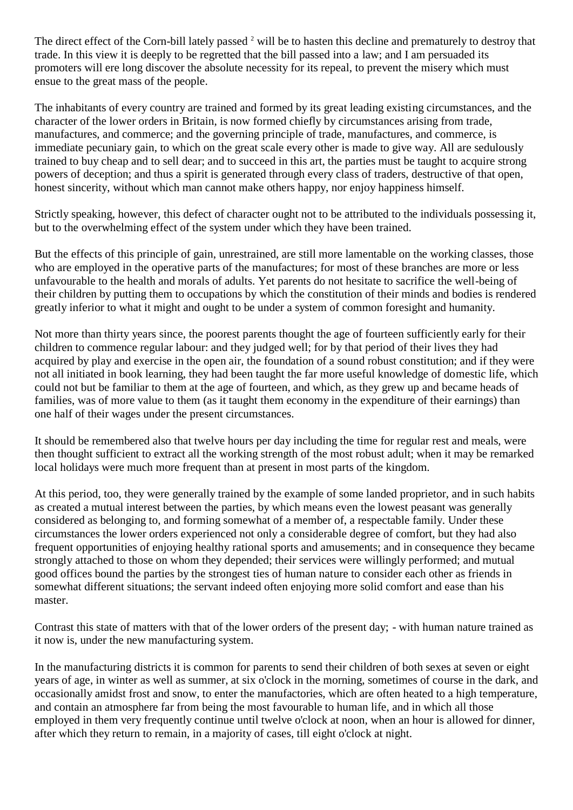The direct effect of the Corn-bill lately passed <sup>2</sup> will be to hasten this decline and prematurely to destroy that trade. In this view it is deeply to be regretted that the bill passed into a law; and I am persuaded its promoters will ere long discover the absolute necessity for its repeal, to prevent the misery which must ensue to the great mass of the people.

The inhabitants of every country are trained and formed by its great leading existing circumstances, and the character of the lower orders in Britain, is now formed chiefly by circumstances arising from trade, manufactures, and commerce; and the governing principle of trade, manufactures, and commerce, is immediate pecuniary gain, to which on the great scale every other is made to give way. All are sedulously trained to buy cheap and to sell dear; and to succeed in this art, the parties must be taught to acquire strong powers of deception; and thus a spirit is generated through every class of traders, destructive of that open, honest sincerity, without which man cannot make others happy, nor enjoy happiness himself.

Strictly speaking, however, this defect of character ought not to be attributed to the individuals possessing it, but to the overwhelming effect of the system under which they have been trained.

But the effects of this principle of gain, unrestrained, are still more lamentable on the working classes, those who are employed in the operative parts of the manufactures; for most of these branches are more or less unfavourable to the health and morals of adults. Yet parents do not hesitate to sacrifice the well-being of their children by putting them to occupations by which the constitution of their minds and bodies is rendered greatly inferior to what it might and ought to be under a system of common foresight and humanity.

Not more than thirty years since, the poorest parents thought the age of fourteen sufficiently early for their children to commence regular labour: and they judged well; for by that period of their lives they had acquired by play and exercise in the open air, the foundation of a sound robust constitution; and if they were not all initiated in book learning, they had been taught the far more useful knowledge of domestic life, which could not but be familiar to them at the age of fourteen, and which, as they grew up and became heads of families, was of more value to them (as it taught them economy in the expenditure of their earnings) than one half of their wages under the present circumstances.

It should be remembered also that twelve hours per day including the time for regular rest and meals, were then thought sufficient to extract all the working strength of the most robust adult; when it may be remarked local holidays were much more frequent than at present in most parts of the kingdom.

At this period, too, they were generally trained by the example of some landed proprietor, and in such habits as created a mutual interest between the parties, by which means even the lowest peasant was generally considered as belonging to, and forming somewhat of a member of, a respectable family. Under these circumstances the lower orders experienced not only a considerable degree of comfort, but they had also frequent opportunities of enjoying healthy rational sports and amusements; and in consequence they became strongly attached to those on whom they depended; their services were willingly performed; and mutual good offices bound the parties by the strongest ties of human nature to consider each other as friends in somewhat different situations; the servant indeed often enjoying more solid comfort and ease than his master.

Contrast this state of matters with that of the lower orders of the present day; - with human nature trained as it now is, under the new manufacturing system.

In the manufacturing districts it is common for parents to send their children of both sexes at seven or eight years of age, in winter as well as summer, at six o'clock in the morning, sometimes of course in the dark, and occasionally amidst frost and snow, to enter the manufactories, which are often heated to a high temperature, and contain an atmosphere far from being the most favourable to human life, and in which all those employed in them very frequently continue until twelve o'clock at noon, when an hour is allowed for dinner, after which they return to remain, in a majority of cases, till eight o'clock at night.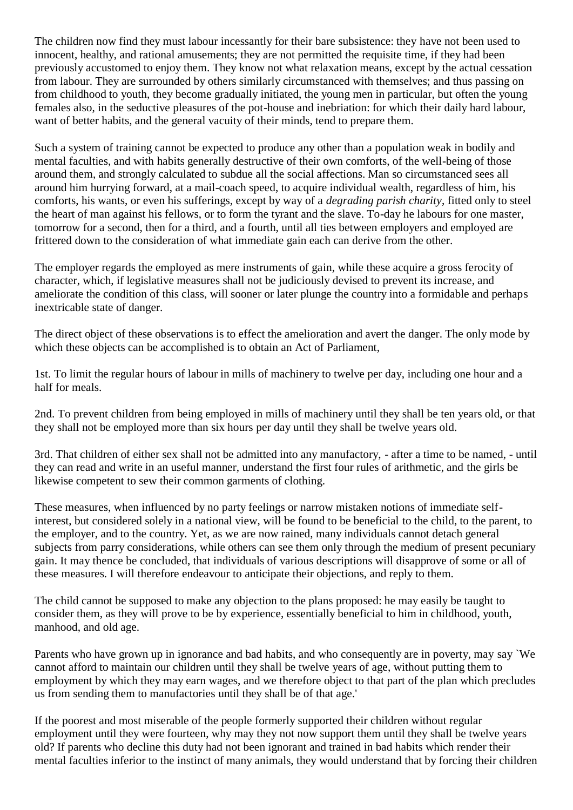The children now find they must labour incessantly for their bare subsistence: they have not been used to innocent, healthy, and rational amusements; they are not permitted the requisite time, if they had been previously accustomed to enjoy them. They know not what relaxation means, except by the actual cessation from labour. They are surrounded by others similarly circumstanced with themselves; and thus passing on from childhood to youth, they become gradually initiated, the young men in particular, but often the young females also, in the seductive pleasures of the pot-house and inebriation: for which their daily hard labour, want of better habits, and the general vacuity of their minds, tend to prepare them.

Such a system of training cannot be expected to produce any other than a population weak in bodily and mental faculties, and with habits generally destructive of their own comforts, of the well-being of those around them, and strongly calculated to subdue all the social affections. Man so circumstanced sees all around him hurrying forward, at a mail-coach speed, to acquire individual wealth, regardless of him, his comforts, his wants, or even his sufferings, except by way of a *degrading parish charity*, fitted only to steel the heart of man against his fellows, or to form the tyrant and the slave. To-day he labours for one master, tomorrow for a second, then for a third, and a fourth, until all ties between employers and employed are frittered down to the consideration of what immediate gain each can derive from the other.

The employer regards the employed as mere instruments of gain, while these acquire a gross ferocity of character, which, if legislative measures shall not be judiciously devised to prevent its increase, and ameliorate the condition of this class, will sooner or later plunge the country into a formidable and perhaps inextricable state of danger.

The direct object of these observations is to effect the amelioration and avert the danger. The only mode by which these objects can be accomplished is to obtain an Act of Parliament,

1st. To limit the regular hours of labour in mills of machinery to twelve per day, including one hour and a half for meals.

2nd. To prevent children from being employed in mills of machinery until they shall be ten years old, or that they shall not be employed more than six hours per day until they shall be twelve years old.

3rd. That children of either sex shall not be admitted into any manufactory, - after a time to be named, - until they can read and write in an useful manner, understand the first four rules of arithmetic, and the girls be likewise competent to sew their common garments of clothing.

These measures, when influenced by no party feelings or narrow mistaken notions of immediate selfinterest, but considered solely in a national view, will be found to be beneficial to the child, to the parent, to the employer, and to the country. Yet, as we are now rained, many individuals cannot detach general subjects from parry considerations, while others can see them only through the medium of present pecuniary gain. It may thence be concluded, that individuals of various descriptions will disapprove of some or all of these measures. I will therefore endeavour to anticipate their objections, and reply to them.

The child cannot be supposed to make any objection to the plans proposed: he may easily be taught to consider them, as they will prove to be by experience, essentially beneficial to him in childhood, youth, manhood, and old age.

Parents who have grown up in ignorance and bad habits, and who consequently are in poverty, may say `We cannot afford to maintain our children until they shall be twelve years of age, without putting them to employment by which they may earn wages, and we therefore object to that part of the plan which precludes us from sending them to manufactories until they shall be of that age.'

If the poorest and most miserable of the people formerly supported their children without regular employment until they were fourteen, why may they not now support them until they shall be twelve years old? If parents who decline this duty had not been ignorant and trained in bad habits which render their mental faculties inferior to the instinct of many animals, they would understand that by forcing their children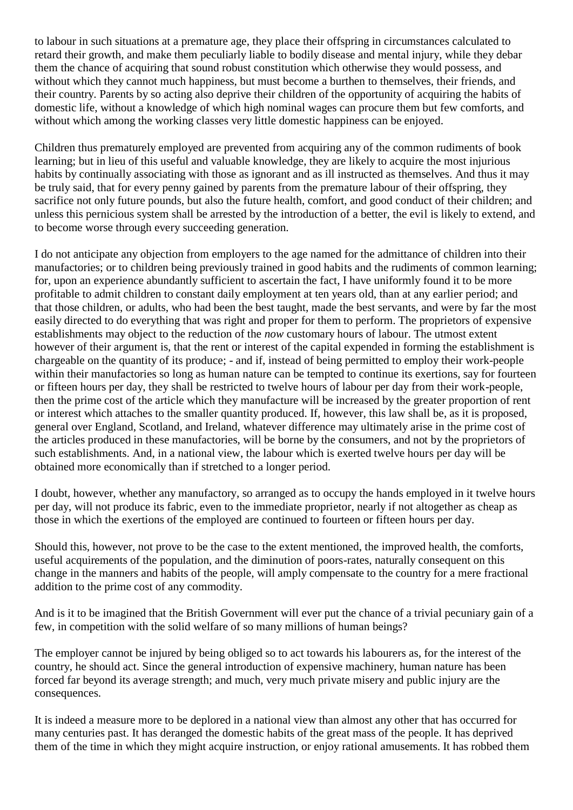to labour in such situations at a premature age, they place their offspring in circumstances calculated to retard their growth, and make them peculiarly liable to bodily disease and mental injury, while they debar them the chance of acquiring that sound robust constitution which otherwise they would possess, and without which they cannot much happiness, but must become a burthen to themselves, their friends, and their country. Parents by so acting also deprive their children of the opportunity of acquiring the habits of domestic life, without a knowledge of which high nominal wages can procure them but few comforts, and without which among the working classes very little domestic happiness can be enjoyed.

Children thus prematurely employed are prevented from acquiring any of the common rudiments of book learning; but in lieu of this useful and valuable knowledge, they are likely to acquire the most injurious habits by continually associating with those as ignorant and as ill instructed as themselves. And thus it may be truly said, that for every penny gained by parents from the premature labour of their offspring, they sacrifice not only future pounds, but also the future health, comfort, and good conduct of their children; and unless this pernicious system shall be arrested by the introduction of a better, the evil is likely to extend, and to become worse through every succeeding generation.

I do not anticipate any objection from employers to the age named for the admittance of children into their manufactories; or to children being previously trained in good habits and the rudiments of common learning; for, upon an experience abundantly sufficient to ascertain the fact, I have uniformly found it to be more profitable to admit children to constant daily employment at ten years old, than at any earlier period; and that those children, or adults, who had been the best taught, made the best servants, and were by far the most easily directed to do everything that was right and proper for them to perform. The proprietors of expensive establishments may object to the reduction of the *now* customary hours of labour. The utmost extent however of their argument is, that the rent or interest of the capital expended in forming the establishment is chargeable on the quantity of its produce; - and if, instead of being permitted to employ their work-people within their manufactories so long as human nature can be tempted to continue its exertions, say for fourteen or fifteen hours per day, they shall be restricted to twelve hours of labour per day from their work-people, then the prime cost of the article which they manufacture will be increased by the greater proportion of rent or interest which attaches to the smaller quantity produced. If, however, this law shall be, as it is proposed, general over England, Scotland, and Ireland, whatever difference may ultimately arise in the prime cost of the articles produced in these manufactories, will be borne by the consumers, and not by the proprietors of such establishments. And, in a national view, the labour which is exerted twelve hours per day will be obtained more economically than if stretched to a longer period.

I doubt, however, whether any manufactory, so arranged as to occupy the hands employed in it twelve hours per day, will not produce its fabric, even to the immediate proprietor, nearly if not altogether as cheap as those in which the exertions of the employed are continued to fourteen or fifteen hours per day.

Should this, however, not prove to be the case to the extent mentioned, the improved health, the comforts, useful acquirements of the population, and the diminution of poors-rates, naturally consequent on this change in the manners and habits of the people, will amply compensate to the country for a mere fractional addition to the prime cost of any commodity.

And is it to be imagined that the British Government will ever put the chance of a trivial pecuniary gain of a few, in competition with the solid welfare of so many millions of human beings?

The employer cannot be injured by being obliged so to act towards his labourers as, for the interest of the country, he should act. Since the general introduction of expensive machinery, human nature has been forced far beyond its average strength; and much, very much private misery and public injury are the consequences.

It is indeed a measure more to be deplored in a national view than almost any other that has occurred for many centuries past. It has deranged the domestic habits of the great mass of the people. It has deprived them of the time in which they might acquire instruction, or enjoy rational amusements. It has robbed them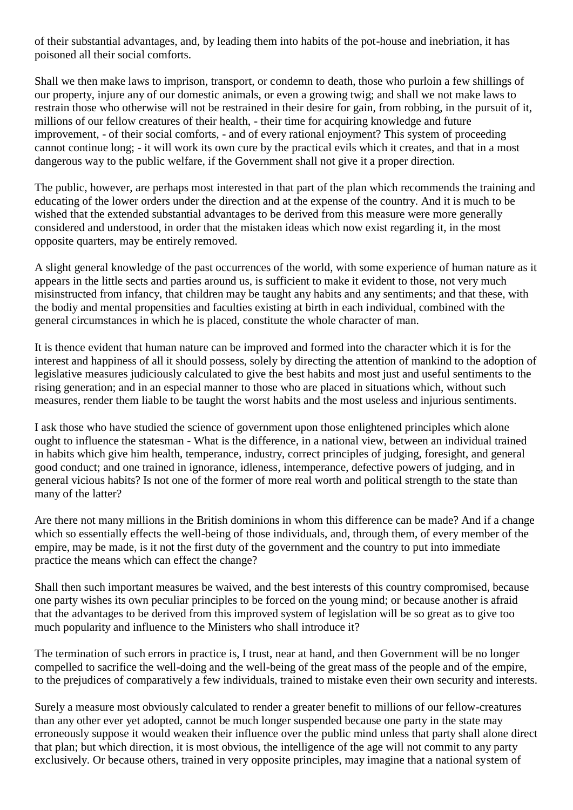of their substantial advantages, and, by leading them into habits of the pot-house and inebriation, it has poisoned all their social comforts.

Shall we then make laws to imprison, transport, or condemn to death, those who purloin a few shillings of our property, injure any of our domestic animals, or even a growing twig; and shall we not make laws to restrain those who otherwise will not be restrained in their desire for gain, from robbing, in the pursuit of it, millions of our fellow creatures of their health, - their time for acquiring knowledge and future improvement, - of their social comforts, - and of every rational enjoyment? This system of proceeding cannot continue long; - it will work its own cure by the practical evils which it creates, and that in a most dangerous way to the public welfare, if the Government shall not give it a proper direction.

The public, however, are perhaps most interested in that part of the plan which recommends the training and educating of the lower orders under the direction and at the expense of the country. And it is much to be wished that the extended substantial advantages to be derived from this measure were more generally considered and understood, in order that the mistaken ideas which now exist regarding it, in the most opposite quarters, may be entirely removed.

A slight general knowledge of the past occurrences of the world, with some experience of human nature as it appears in the little sects and parties around us, is sufficient to make it evident to those, not very much misinstructed from infancy, that children may be taught any habits and any sentiments; and that these, with the bodiy and mental propensities and faculties existing at birth in each individual, combined with the general circumstances in which he is placed, constitute the whole character of man.

It is thence evident that human nature can be improved and formed into the character which it is for the interest and happiness of all it should possess, solely by directing the attention of mankind to the adoption of legislative measures judiciously calculated to give the best habits and most just and useful sentiments to the rising generation; and in an especial manner to those who are placed in situations which, without such measures, render them liable to be taught the worst habits and the most useless and injurious sentiments.

I ask those who have studied the science of government upon those enlightened principles which alone ought to influence the statesman - What is the difference, in a national view, between an individual trained in habits which give him health, temperance, industry, correct principles of judging, foresight, and general good conduct; and one trained in ignorance, idleness, intemperance, defective powers of judging, and in general vicious habits? Is not one of the former of more real worth and political strength to the state than many of the latter?

Are there not many millions in the British dominions in whom this difference can be made? And if a change which so essentially effects the well-being of those individuals, and, through them, of every member of the empire, may be made, is it not the first duty of the government and the country to put into immediate practice the means which can effect the change?

Shall then such important measures be waived, and the best interests of this country compromised, because one party wishes its own peculiar principles to be forced on the young mind; or because another is afraid that the advantages to be derived from this improved system of legislation will be so great as to give too much popularity and influence to the Ministers who shall introduce it?

The termination of such errors in practice is, I trust, near at hand, and then Government will be no longer compelled to sacrifice the well-doing and the well-being of the great mass of the people and of the empire, to the prejudices of comparatively a few individuals, trained to mistake even their own security and interests.

Surely a measure most obviously calculated to render a greater benefit to millions of our fellow-creatures than any other ever yet adopted, cannot be much longer suspended because one party in the state may erroneously suppose it would weaken their influence over the public mind unless that party shall alone direct that plan; but which direction, it is most obvious, the intelligence of the age will not commit to any party exclusively. Or because others, trained in very opposite principles, may imagine that a national system of